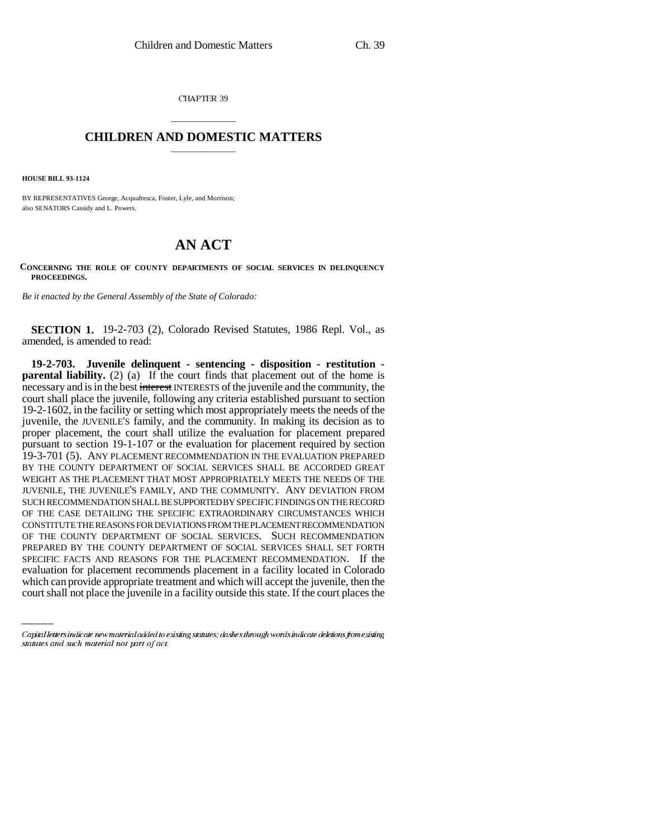CHAPTER 39

## \_\_\_\_\_\_\_\_\_\_\_\_\_\_\_ **CHILDREN AND DOMESTIC MATTERS** \_\_\_\_\_\_\_\_\_\_\_\_\_\_\_

**HOUSE BILL 93-1124**

BY REPRESENTATIVES George, Acquafresca, Foster, Lyle, and Morrison; also SENATORS Cassidy and L. Powers.

## **AN ACT**

**CONCERNING THE ROLE OF COUNTY DEPARTMENTS OF SOCIAL SERVICES IN DELINQUENCY PROCEEDINGS.**

*Be it enacted by the General Assembly of the State of Colorado:* 

**SECTION 1.** 19-2-703 (2), Colorado Revised Statutes, 1986 Repl. Vol., as amended, is amended to read:

PREPARED BY THE COUNTY DEPARTMENT OF SOCIAL SERVICES SHALL SET FORTH **19-2-703. Juvenile delinquent - sentencing - disposition - restitution parental liability.** (2) (a) If the court finds that placement out of the home is necessary and is in the best interest INTERESTS of the juvenile and the community, the court shall place the juvenile, following any criteria established pursuant to section 19-2-1602, in the facility or setting which most appropriately meets the needs of the juvenile, the JUVENILE'S family, and the community. In making its decision as to proper placement, the court shall utilize the evaluation for placement prepared pursuant to section 19-1-107 or the evaluation for placement required by section 19-3-701 (5). ANY PLACEMENT RECOMMENDATION IN THE EVALUATION PREPARED BY THE COUNTY DEPARTMENT OF SOCIAL SERVICES SHALL BE ACCORDED GREAT WEIGHT AS THE PLACEMENT THAT MOST APPROPRIATELY MEETS THE NEEDS OF THE JUVENILE, THE JUVENILE'S FAMILY, AND THE COMMUNITY. ANY DEVIATION FROM SUCH RECOMMENDATION SHALL BE SUPPORTED BY SPECIFIC FINDINGS ON THE RECORD OF THE CASE DETAILING THE SPECIFIC EXTRAORDINARY CIRCUMSTANCES WHICH CONSTITUTE THE REASONS FOR DEVIATIONS FROM THE PLACEMENT RECOMMENDATION OF THE COUNTY DEPARTMENT OF SOCIAL SERVICES. SUCH RECOMMENDATION SPECIFIC FACTS AND REASONS FOR THE PLACEMENT RECOMMENDATION. If the evaluation for placement recommends placement in a facility located in Colorado which can provide appropriate treatment and which will accept the juvenile, then the court shall not place the juvenile in a facility outside this state. If the court places the

Capital letters indicate new material added to existing statutes; dashes through words indicate deletions from existing statutes and such material not part of act.